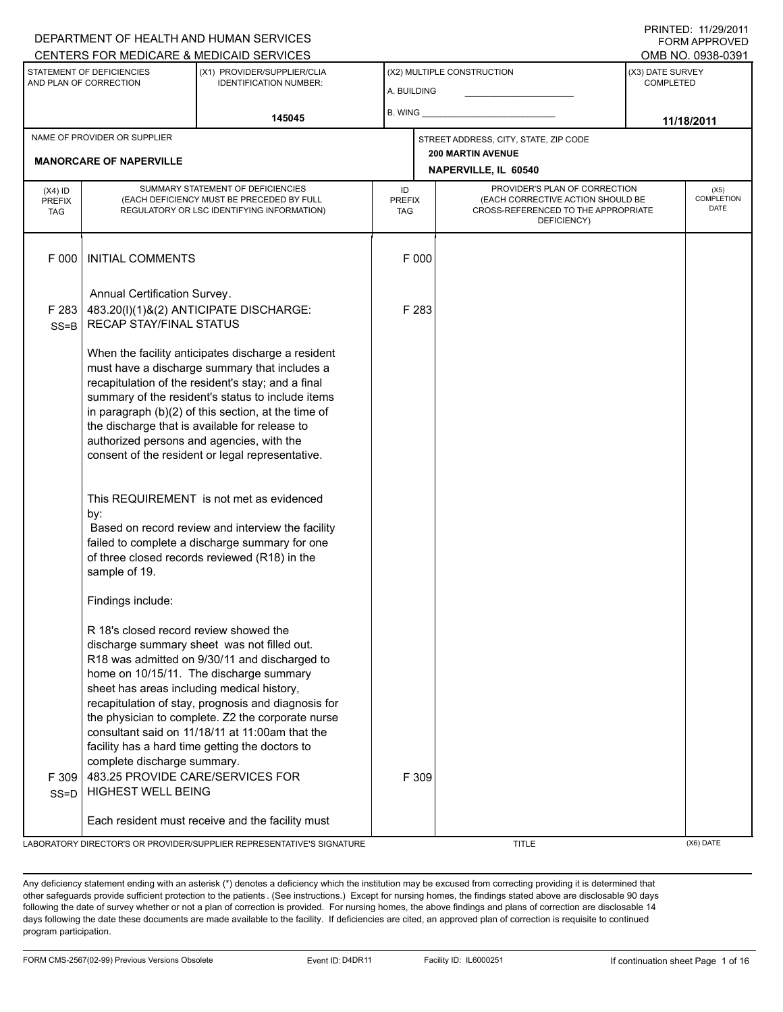#### A. BUILDING (X1) PROVIDER/SUPPLIER/CLIA IDENTIFICATION NUMBER: STATEMENT OF DEFICIENCIES AND PLAN OF CORRECTION (X3) DATE SURVEY COMPLETED (X2) MULTIPLE CONSTRUCTION B. WING CENTERS FOR MEDICARE & MEDICAID SERVICES **CENTERS FOR MEDICAL ACCESS** OMB NO. 0938-0391 **145045 11/18/2011 NAPERVILLE, IL 60540** NAME OF PROVIDER OR SUPPLIER STREET ADDRESS, CITY, STATE, ZIP CODE **MANORCARE OF NAPERVILLE 200 MARTIN AVENUE** PROVIDER'S PLAN OF CORRECTION (EACH CORRECTIVE ACTION SHOULD BE CROSS-REFERENCED TO THE APPROPRIATE DEFICIENCY) (X5) **COMPLETION** DATE ID PREFIX TAG (X4) ID PREFIX TAG SUMMARY STATEMENT OF DEFICIENCIES (EACH DEFICIENCY MUST BE PRECEDED BY FULL REGULATORY OR LSC IDENTIFYING INFORMATION) F 000 INITIAL COMMENTS F 000 Annual Certification Survey. F 283 SS=B 483.20(l)(1)&(2) ANTICIPATE DISCHARGE: RECAP STAY/FINAL STATUS When the facility anticipates discharge a resident must have a discharge summary that includes a recapitulation of the resident's stay; and a final summary of the resident's status to include items in paragraph (b)(2) of this section, at the time of the discharge that is available for release to authorized persons and agencies, with the consent of the resident or legal representative. This REQUIREMENT is not met as evidenced by: F 283 Based on record review and interview the facility failed to complete a discharge summary for one of three closed records reviewed (R18) in the sample of 19. Findings include: R 18's closed record review showed the discharge summary sheet was not filled out. R18 was admitted on 9/30/11 and discharged to home on 10/15/11. The discharge summary sheet has areas including medical history, recapitulation of stay, prognosis and diagnosis for the physician to complete. Z2 the corporate nurse consultant said on 11/18/11 at 11:00am that the facility has a hard time getting the doctors to complete discharge summary. F 309 SS=D 483.25 PROVIDE CARE/SERVICES FOR HIGHEST WELL BEING Each resident must receive and the facility must F 309 LABORATORY DIRECTOR'S OR PROVIDER/SUPPLIER REPRESENTATIVE'S SIGNATURE TITLE (X6) DATE

Any deficiency statement ending with an asterisk (\*) denotes a deficiency which the institution may be excused from correcting providing it is determined that other safeguards provide sufficient protection to the patients . (See instructions.) Except for nursing homes, the findings stated above are disclosable 90 days following the date of survey whether or not a plan of correction is provided. For nursing homes, the above findings and plans of correction are disclosable 14 days following the date these documents are made available to the facility. If deficiencies are cited, an approved plan of correction is requisite to continued program participation.

DEPARTMENT OF HEALTH AND HUMAN SERVICES

# PRINTED: 11/29/2011 FORM APPROVED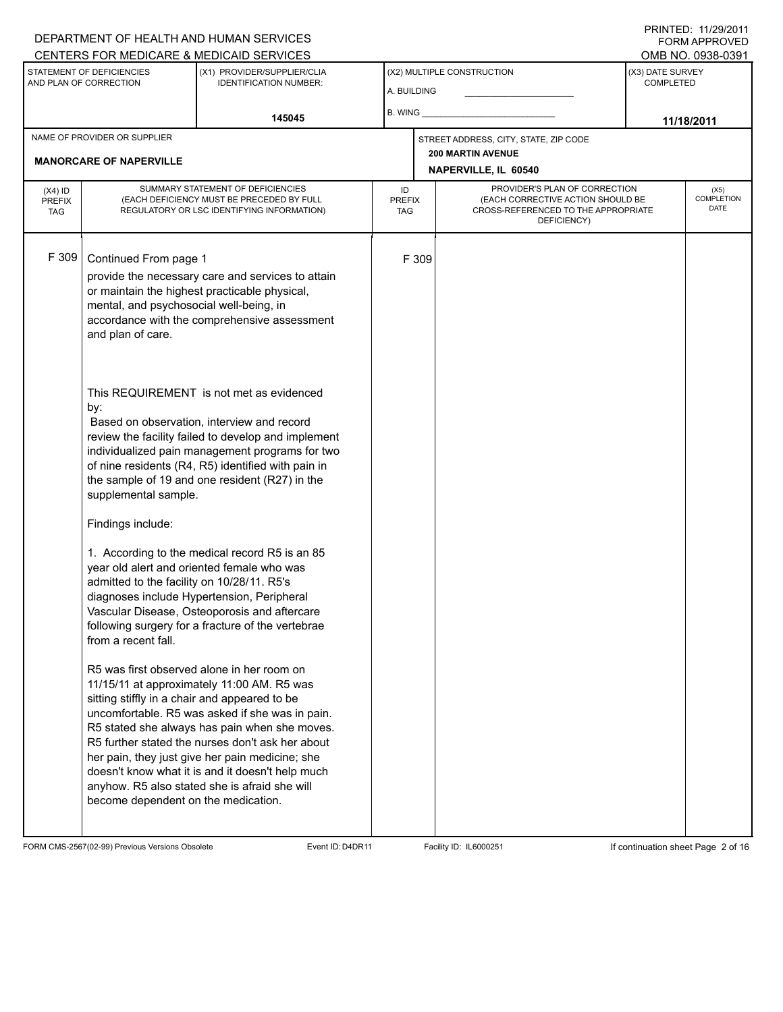# A. BUILDING (X1) PROVIDER/SUPPLIER/CLIA IDENTIFICATION NUMBER: STATEMENT OF DEFICIENCIES AND PLAN OF CORRECTION (X3) DATE SURVEY COMPLETED FORM APPROVED (X2) MULTIPLE CONSTRUCTION B. WING CENTERS FOR MEDICARE & MEDICAID SERVICES OMB NO. 0938-0391 **145045 11/18/2011 NAPERVILLE, IL 60540** NAME OF PROVIDER OR SUPPLIER STREET ADDRESS, CITY, STATE, ZIP CODE **MANORCARE OF NAPERVILLE 200 MARTIN AVENUE** PROVIDER'S PLAN OF CORRECTION (EACH CORRECTIVE ACTION SHOULD BE CROSS-REFERENCED TO THE APPROPRIATE DEFICIENCY) (X5) **COMPLETION** DATE ID PREFIX TAG (X4) ID PREFIX TAG SUMMARY STATEMENT OF DEFICIENCIES (EACH DEFICIENCY MUST BE PRECEDED BY FULL REGULATORY OR LSC IDENTIFYING INFORMATION) F 309 Continued From page 1 F 309 provide the necessary care and services to attain or maintain the highest practicable physical, mental, and psychosocial well-being, in accordance with the comprehensive assessment and plan of care. This REQUIREMENT is not met as evidenced by: Based on observation, interview and record review the facility failed to develop and implement individualized pain management programs for two of nine residents (R4, R5) identified with pain in the sample of 19 and one resident (R27) in the supplemental sample. Findings include: 1. According to the medical record R5 is an 85 year old alert and oriented female who was admitted to the facility on 10/28/11. R5's diagnoses include Hypertension, Peripheral Vascular Disease, Osteoporosis and aftercare following surgery for a fracture of the vertebrae from a recent fall. R5 was first observed alone in her room on 11/15/11 at approximately 11:00 AM. R5 was sitting stiffly in a chair and appeared to be uncomfortable. R5 was asked if she was in pain. R5 stated she always has pain when she moves. R5 further stated the nurses don't ask her about her pain, they just give her pain medicine; she doesn't know what it is and it doesn't help much anyhow. R5 also stated she is afraid she will become dependent on the medication.

FORM CMS-2567(02-99) Previous Versions Obsolete Event ID:D4DR11 Facility ID: IL6000251 If continuation sheet Page 2 of 16

DEPARTMENT OF HEALTH AND HUMAN SERVICES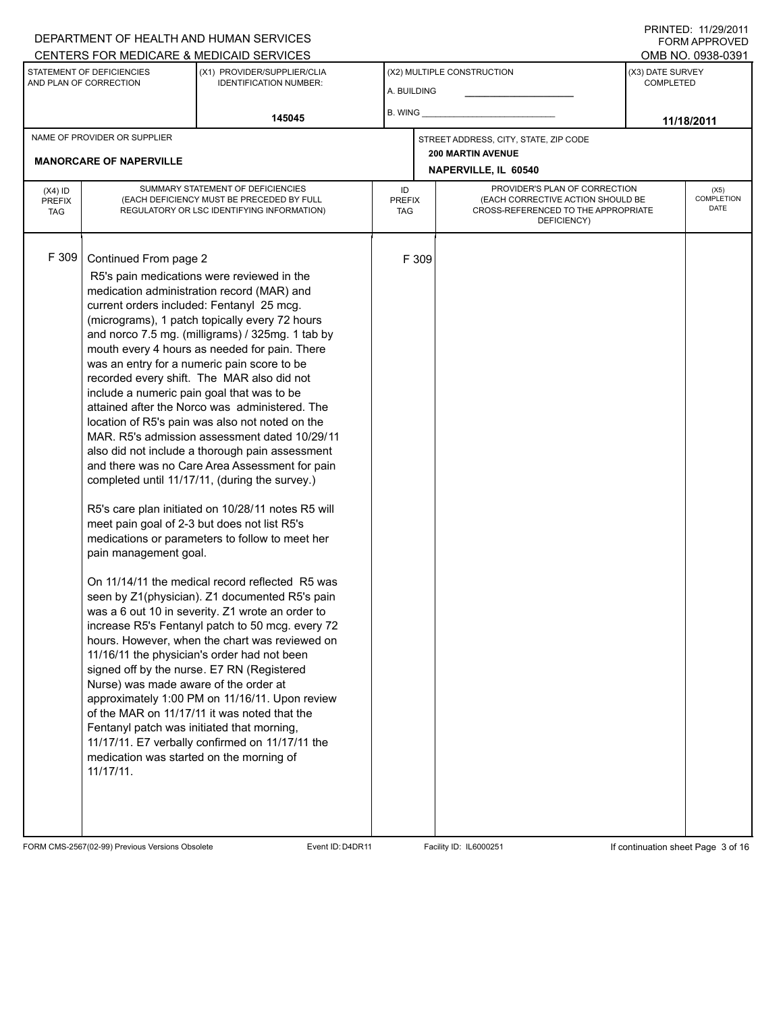#### A. BUILDING (X1) PROVIDER/SUPPLIER/CLIA IDENTIFICATION NUMBER: STATEMENT OF DEFICIENCIES AND PLAN OF CORRECTION (X3) DATE SURVEY COMPLETED FORM APPROVED (X2) MULTIPLE CONSTRUCTION B. WING CENTERS FOR MEDICARE & MEDICAID SERVICES **And CENTERS FOR MEDICAL ACCESS** OMB NO. 0938-0391 **145045 11/18/2011 NAPERVILLE, IL 60540** NAME OF PROVIDER OR SUPPLIER STREET ADDRESS, CITY, STATE, ZIP CODE **MANORCARE OF NAPERVILLE 200 MARTIN AVENUE** PROVIDER'S PLAN OF CORRECTION (EACH CORRECTIVE ACTION SHOULD BE CROSS-REFERENCED TO THE APPROPRIATE DEFICIENCY) (X5) **COMPLETION** DATE ID PREFIX TAG (X4) ID PREFIX TAG SUMMARY STATEMENT OF DEFICIENCIES (EACH DEFICIENCY MUST BE PRECEDED BY FULL REGULATORY OR LSC IDENTIFYING INFORMATION) F 309 Continued From page 2 F 309 R5's pain medications were reviewed in the medication administration record (MAR) and current orders included: Fentanyl 25 mcg. (micrograms), 1 patch topically every 72 hours and norco 7.5 mg. (milligrams) / 325mg. 1 tab by mouth every 4 hours as needed for pain. There was an entry for a numeric pain score to be recorded every shift. The MAR also did not include a numeric pain goal that was to be attained after the Norco was administered. The location of R5's pain was also not noted on the MAR. R5's admission assessment dated 10/29/11 also did not include a thorough pain assessment and there was no Care Area Assessment for pain completed until 11/17/11, (during the survey.) R5's care plan initiated on 10/28/11 notes R5 will meet pain goal of 2-3 but does not list R5's medications or parameters to follow to meet her pain management goal. On 11/14/11 the medical record reflected R5 was seen by Z1(physician). Z1 documented R5's pain was a 6 out 10 in severity. Z1 wrote an order to increase R5's Fentanyl patch to 50 mcg. every 72 hours. However, when the chart was reviewed on 11/16/11 the physician's order had not been signed off by the nurse. E7 RN (Registered Nurse) was made aware of the order at approximately 1:00 PM on 11/16/11. Upon review of the MAR on 11/17/11 it was noted that the Fentanyl patch was initiated that morning, 11/17/11. E7 verbally confirmed on 11/17/11 the medication was started on the morning of 11/17/11.

FORM CMS-2567(02-99) Previous Versions Obsolete Event ID:D4DR11 Facility ID: IL6000251 If continuation sheet Page 3 of 16

DEPARTMENT OF HEALTH AND HUMAN SERVICES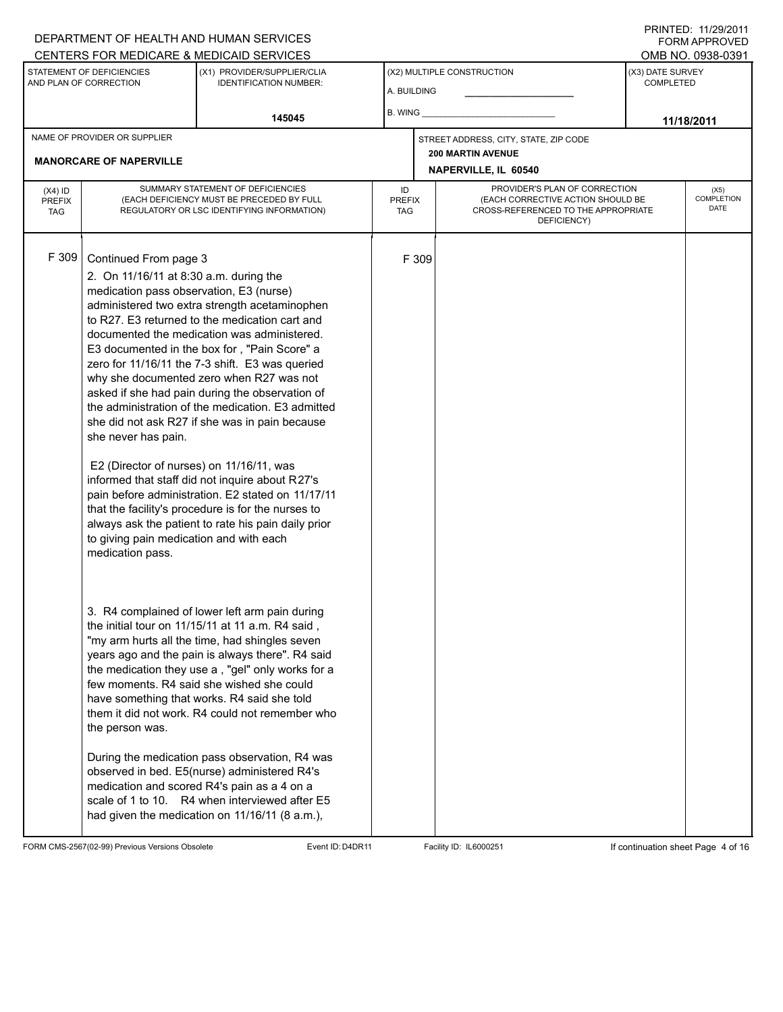#### A. BUILDING (X1) PROVIDER/SUPPLIER/CLIA IDENTIFICATION NUMBER: STATEMENT OF DEFICIENCIES AND PLAN OF CORRECTION (X3) DATE SURVEY COMPLETED FORM APPROVED (X2) MULTIPLE CONSTRUCTION B. WING DEPARTMENT OF HEALTH AND HUMAN SERVICES CENTERS FOR MEDICARE & MEDICAID SERVICES **And CENTERS FOR MEDICAL ACCESS** OMB NO. 0938-0391 **145045 11/18/2011 NAPERVILLE, IL 60540** NAME OF PROVIDER OR SUPPLIER STREET ADDRESS, CITY, STATE, ZIP CODE **MANORCARE OF NAPERVILLE 200 MARTIN AVENUE** PROVIDER'S PLAN OF CORRECTION (EACH CORRECTIVE ACTION SHOULD BE CROSS-REFERENCED TO THE APPROPRIATE DEFICIENCY) (X5) **COMPLETION** DATE ID PREFIX TAG (X4) ID PREFIX TAG SUMMARY STATEMENT OF DEFICIENCIES (EACH DEFICIENCY MUST BE PRECEDED BY FULL REGULATORY OR LSC IDENTIFYING INFORMATION) F 309 Continued From page 3 F 309 2. On 11/16/11 at 8:30 a.m. during the medication pass observation, E3 (nurse) administered two extra strength acetaminophen to R27. E3 returned to the medication cart and documented the medication was administered. E3 documented in the box for , "Pain Score" a zero for 11/16/11 the 7-3 shift. E3 was queried why she documented zero when R27 was not asked if she had pain during the observation of the administration of the medication. E3 admitted she did not ask R27 if she was in pain because she never has pain. E2 (Director of nurses) on 11/16/11, was informed that staff did not inquire about R27's pain before administration. E2 stated on 11/17/11 that the facility's procedure is for the nurses to always ask the patient to rate his pain daily prior to giving pain medication and with each medication pass. 3. R4 complained of lower left arm pain during the initial tour on 11/15/11 at 11 a.m. R4 said , "my arm hurts all the time, had shingles seven years ago and the pain is always there". R4 said the medication they use a , "gel" only works for a few moments. R4 said she wished she could have something that works. R4 said she told them it did not work. R4 could not remember who the person was. During the medication pass observation, R4 was observed in bed. E5(nurse) administered R4's medication and scored R4's pain as a 4 on a scale of 1 to 10. R4 when interviewed after E5 had given the medication on 11/16/11 (8 a.m.),

FORM CMS-2567(02-99) Previous Versions Obsolete Event ID:D4DR11 Facility ID: IL6000251 If continuation sheet Page 4 of 16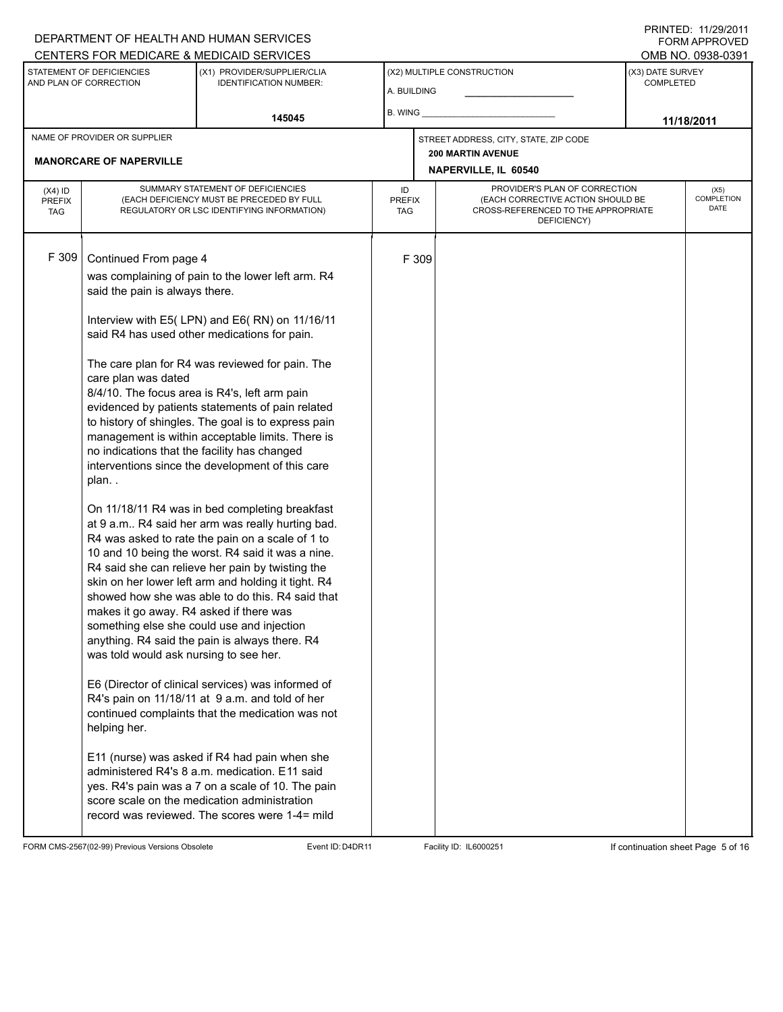# DEPARTMENT OF HEALTH AND HUMAN SERVICES CENTERS FOR MEDICARE & MEDICAID SERVICES

PRINTED: 11/29/2011 FORM APPROVED<br>OMB NO. 0938-0391

| STATEMENT OF DEFICIENCIES<br>AND PLAN OF CORRECTION            |                                                                                                                                                                                                                                                                                                                                                                                                                                                                                                                                                                                                                                                                                                                                                                                                                                                                                                                                                                                                                                                                                                                                                                                                                                                                                                                                                                                                                                                                                                                                                                                                                              | (X1) PROVIDER/SUPPLIER/CLIA<br><b>IDENTIFICATION NUMBER:</b> |    | (X2) MULTIPLE CONSTRUCTION<br>A. BUILDING                                                                                                               |  |                            | <u>UNIU INU. UUUU UUU I</u><br>(X3) DATE SURVEY<br><b>COMPLETED</b> |  |
|----------------------------------------------------------------|------------------------------------------------------------------------------------------------------------------------------------------------------------------------------------------------------------------------------------------------------------------------------------------------------------------------------------------------------------------------------------------------------------------------------------------------------------------------------------------------------------------------------------------------------------------------------------------------------------------------------------------------------------------------------------------------------------------------------------------------------------------------------------------------------------------------------------------------------------------------------------------------------------------------------------------------------------------------------------------------------------------------------------------------------------------------------------------------------------------------------------------------------------------------------------------------------------------------------------------------------------------------------------------------------------------------------------------------------------------------------------------------------------------------------------------------------------------------------------------------------------------------------------------------------------------------------------------------------------------------------|--------------------------------------------------------------|----|---------------------------------------------------------------------------------------------------------------------------------------------------------|--|----------------------------|---------------------------------------------------------------------|--|
|                                                                |                                                                                                                                                                                                                                                                                                                                                                                                                                                                                                                                                                                                                                                                                                                                                                                                                                                                                                                                                                                                                                                                                                                                                                                                                                                                                                                                                                                                                                                                                                                                                                                                                              | 145045                                                       |    | B. WING <b>Example 20</b>                                                                                                                               |  | 11/18/2011                 |                                                                     |  |
| NAME OF PROVIDER OR SUPPLIER<br><b>MANORCARE OF NAPERVILLE</b> |                                                                                                                                                                                                                                                                                                                                                                                                                                                                                                                                                                                                                                                                                                                                                                                                                                                                                                                                                                                                                                                                                                                                                                                                                                                                                                                                                                                                                                                                                                                                                                                                                              |                                                              |    | STREET ADDRESS, CITY, STATE, ZIP CODE<br><b>200 MARTIN AVENUE</b><br>NAPERVILLE, IL 60540                                                               |  |                            |                                                                     |  |
| $(X4)$ ID<br><b>PREFIX</b><br>TAG                              | SUMMARY STATEMENT OF DEFICIENCIES<br>(EACH DEFICIENCY MUST BE PRECEDED BY FULL<br>REGULATORY OR LSC IDENTIFYING INFORMATION)                                                                                                                                                                                                                                                                                                                                                                                                                                                                                                                                                                                                                                                                                                                                                                                                                                                                                                                                                                                                                                                                                                                                                                                                                                                                                                                                                                                                                                                                                                 |                                                              | ID | PROVIDER'S PLAN OF CORRECTION<br>(EACH CORRECTIVE ACTION SHOULD BE<br><b>PREFIX</b><br>CROSS-REFERENCED TO THE APPROPRIATE<br><b>TAG</b><br>DEFICIENCY) |  | (X5)<br>COMPLETION<br>DATE |                                                                     |  |
| F 309                                                          | Continued From page 4<br>was complaining of pain to the lower left arm. R4<br>said the pain is always there.<br>Interview with E5(LPN) and E6(RN) on 11/16/11<br>said R4 has used other medications for pain.<br>The care plan for R4 was reviewed for pain. The<br>care plan was dated<br>8/4/10. The focus area is R4's, left arm pain<br>evidenced by patients statements of pain related<br>to history of shingles. The goal is to express pain<br>management is within acceptable limits. There is<br>no indications that the facility has changed<br>interventions since the development of this care<br>plan<br>On 11/18/11 R4 was in bed completing breakfast<br>at 9 a.m R4 said her arm was really hurting bad.<br>R4 was asked to rate the pain on a scale of 1 to<br>10 and 10 being the worst. R4 said it was a nine.<br>R4 said she can relieve her pain by twisting the<br>skin on her lower left arm and holding it tight. R4<br>showed how she was able to do this. R4 said that<br>makes it go away. R4 asked if there was<br>something else she could use and injection<br>anything. R4 said the pain is always there. R4<br>was told would ask nursing to see her.<br>E6 (Director of clinical services) was informed of<br>R4's pain on 11/18/11 at 9 a.m. and told of her<br>continued complaints that the medication was not<br>helping her.<br>E11 (nurse) was asked if R4 had pain when she<br>administered R4's 8 a.m. medication. E11 said<br>yes. R4's pain was a 7 on a scale of 10. The pain<br>score scale on the medication administration<br>record was reviewed. The scores were 1-4= mild |                                                              |    | F 309                                                                                                                                                   |  |                            |                                                                     |  |

FORM CMS-2567(02-99) Previous Versions Obsolete Event ID:D4DR11 Facility ID: IL6000251 If continuation sheet Page 5 of 16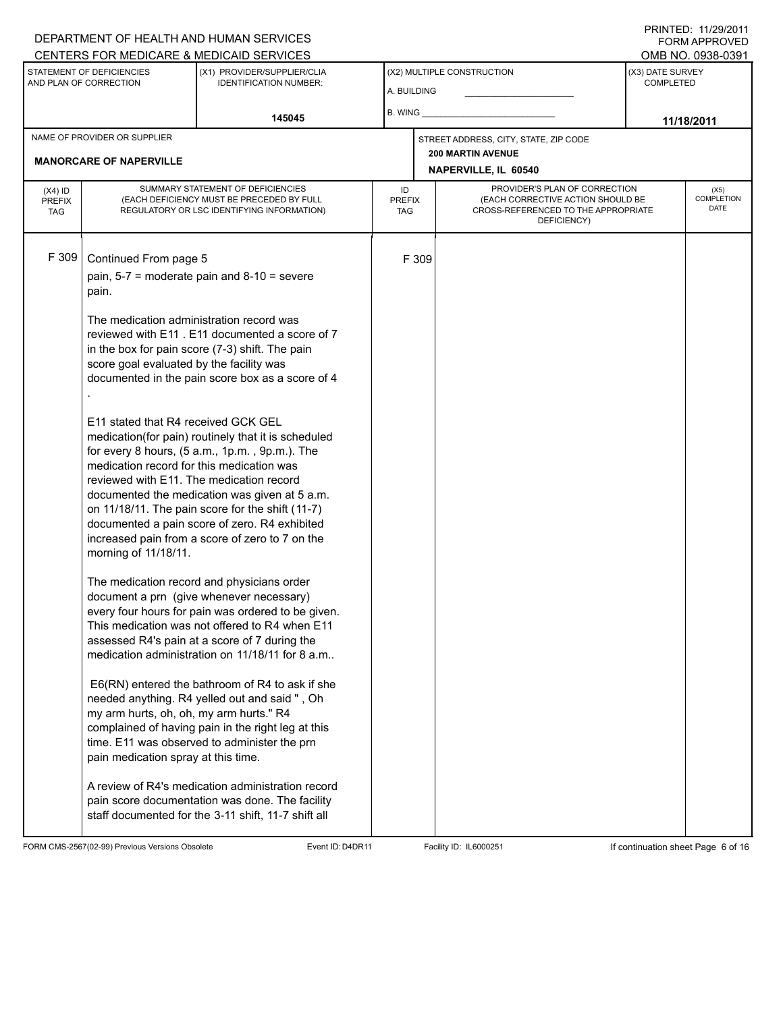# DEPARTMENT OF HEALTH AND HUMAN SERVICES

PRINTED: 11/29/2011 FORM APPROVED

|                                                     |                                                                                                                                                      | CENTERS FOR MEDICARE & MEDICAID SERVICES                                                                                                                                                                                                                                                                       |                                           |       |                                                                                                                          |                                      | OMB NO. 0938-0391 |
|-----------------------------------------------------|------------------------------------------------------------------------------------------------------------------------------------------------------|----------------------------------------------------------------------------------------------------------------------------------------------------------------------------------------------------------------------------------------------------------------------------------------------------------------|-------------------------------------------|-------|--------------------------------------------------------------------------------------------------------------------------|--------------------------------------|-------------------|
| STATEMENT OF DEFICIENCIES<br>AND PLAN OF CORRECTION |                                                                                                                                                      | (X1) PROVIDER/SUPPLIER/CLIA<br><b>IDENTIFICATION NUMBER:</b>                                                                                                                                                                                                                                                   | (X2) MULTIPLE CONSTRUCTION<br>A. BUILDING |       |                                                                                                                          | (X3) DATE SURVEY<br><b>COMPLETED</b> |                   |
|                                                     |                                                                                                                                                      | 145045                                                                                                                                                                                                                                                                                                         | B. WING                                   |       |                                                                                                                          | 11/18/2011                           |                   |
|                                                     | NAME OF PROVIDER OR SUPPLIER                                                                                                                         |                                                                                                                                                                                                                                                                                                                |                                           |       | STREET ADDRESS, CITY, STATE, ZIP CODE                                                                                    |                                      |                   |
|                                                     | <b>MANORCARE OF NAPERVILLE</b>                                                                                                                       |                                                                                                                                                                                                                                                                                                                |                                           |       | <b>200 MARTIN AVENUE</b><br>NAPERVILLE, IL 60540                                                                         |                                      |                   |
|                                                     |                                                                                                                                                      |                                                                                                                                                                                                                                                                                                                |                                           |       |                                                                                                                          |                                      | (X5)              |
| $(X4)$ ID<br><b>PREFIX</b><br><b>TAG</b>            | SUMMARY STATEMENT OF DEFICIENCIES<br>(EACH DEFICIENCY MUST BE PRECEDED BY FULL<br>REGULATORY OR LSC IDENTIFYING INFORMATION)                         |                                                                                                                                                                                                                                                                                                                | ID<br><b>PREFIX</b><br><b>TAG</b>         |       | PROVIDER'S PLAN OF CORRECTION<br>(EACH CORRECTIVE ACTION SHOULD BE<br>CROSS-REFERENCED TO THE APPROPRIATE<br>DEFICIENCY) |                                      |                   |
| F 309                                               | Continued From page 5                                                                                                                                |                                                                                                                                                                                                                                                                                                                |                                           | F 309 |                                                                                                                          |                                      |                   |
|                                                     | pain, $5-7$ = moderate pain and $8-10$ = severe<br>pain.                                                                                             |                                                                                                                                                                                                                                                                                                                |                                           |       |                                                                                                                          |                                      |                   |
|                                                     | The medication administration record was<br>score goal evaluated by the facility was                                                                 | reviewed with E11 . E11 documented a score of 7<br>in the box for pain score (7-3) shift. The pain<br>documented in the pain score box as a score of 4                                                                                                                                                         |                                           |       |                                                                                                                          |                                      |                   |
|                                                     | E11 stated that R4 received GCK GEL<br>medication record for this medication was<br>reviewed with E11. The medication record<br>morning of 11/18/11. | medication(for pain) routinely that it is scheduled<br>for every 8 hours, (5 a.m., 1p.m., 9p.m.). The<br>documented the medication was given at 5 a.m.<br>on 11/18/11. The pain score for the shift (11-7)<br>documented a pain score of zero. R4 exhibited<br>increased pain from a score of zero to 7 on the |                                           |       |                                                                                                                          |                                      |                   |
|                                                     |                                                                                                                                                      | The medication record and physicians order<br>document a prn (give whenever necessary)<br>every four hours for pain was ordered to be given.<br>This medication was not offered to R4 when E11<br>assessed R4's pain at a score of 7 during the<br>medication administration on 11/18/11 for 8 a.m             |                                           |       |                                                                                                                          |                                      |                   |
|                                                     | my arm hurts, oh, oh, my arm hurts." R4<br>pain medication spray at this time.                                                                       | E6(RN) entered the bathroom of R4 to ask if she<br>needed anything. R4 yelled out and said ", Oh<br>complained of having pain in the right leg at this<br>time. E11 was observed to administer the prn                                                                                                         |                                           |       |                                                                                                                          |                                      |                   |
|                                                     |                                                                                                                                                      | A review of R4's medication administration record<br>pain score documentation was done. The facility<br>staff documented for the 3-11 shift, 11-7 shift all                                                                                                                                                    |                                           |       |                                                                                                                          |                                      |                   |

FORM CMS-2567(02-99) Previous Versions Obsolete Event ID:D4DR11 Facility ID: IL6000251 If continuation sheet Page 6 of 16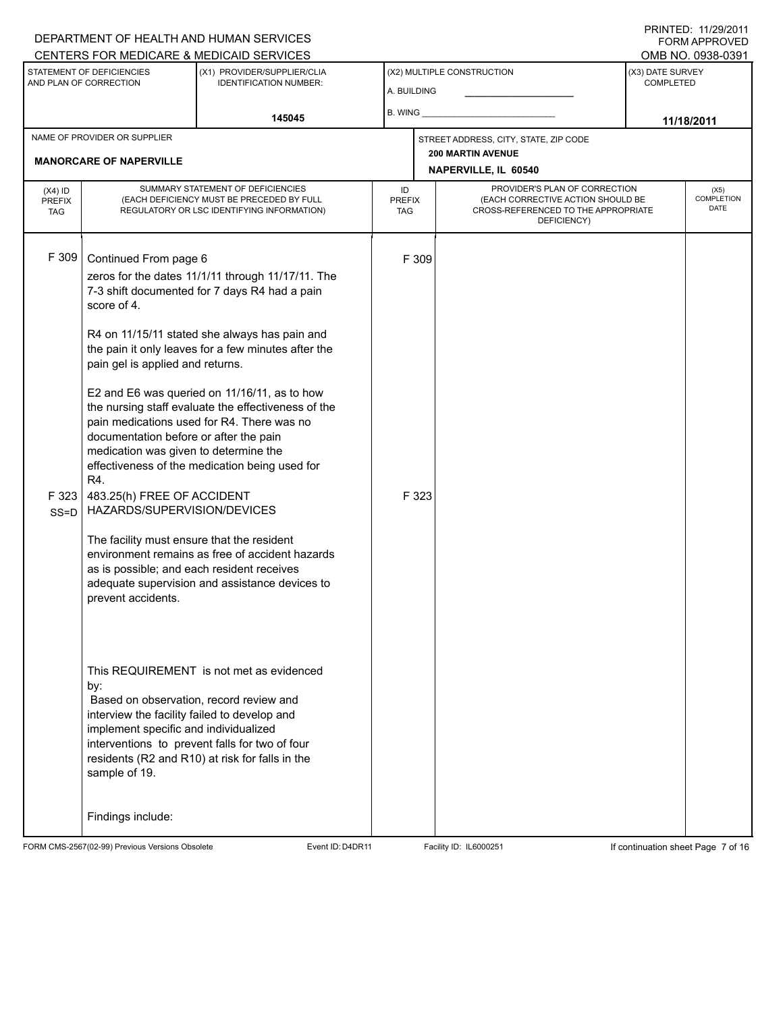# A. BUILDING (X1) PROVIDER/SUPPLIER/CLIA IDENTIFICATION NUMBER: STATEMENT OF DEFICIENCIES AND PLAN OF CORRECTION (X3) DATE SURVEY COMPLETED (X2) MULTIPLE CONSTRUCTION B. WING DEPARTMENT OF HEALTH AND HUMAN SERVICES CENTERS FOR MEDICARE & MEDICAID SERVICES OMB NO. 0938-0391 **145045 11/18/2011 NAPERVILLE, IL 60540** NAME OF PROVIDER OR SUPPLIER STREET ADDRESS, CITY, STATE, ZIP CODE **MANORCARE OF NAPERVILLE 200 MARTIN AVENUE** PROVIDER'S PLAN OF CORRECTION (EACH CORRECTIVE ACTION SHOULD BE CROSS-REFERENCED TO THE APPROPRIATE DEFICIENCY) (X5) **COMPLETION** DATE ID PREFIX TAG (X4) ID PREFIX TAG SUMMARY STATEMENT OF DEFICIENCIES (EACH DEFICIENCY MUST BE PRECEDED BY FULL REGULATORY OR LSC IDENTIFYING INFORMATION) F 309 Continued From page 6 F 309 zeros for the dates 11/1/11 through 11/17/11. The 7-3 shift documented for 7 days R4 had a pain score of 4. R4 on 11/15/11 stated she always has pain and the pain it only leaves for a few minutes after the pain gel is applied and returns. E2 and E6 was queried on 11/16/11, as to how the nursing staff evaluate the effectiveness of the pain medications used for R4. There was no documentation before or after the pain medication was given to determine the effectiveness of the medication being used for R4. F 323 SS=D 483.25(h) FREE OF ACCIDENT HAZARDS/SUPERVISION/DEVICES The facility must ensure that the resident environment remains as free of accident hazards as is possible; and each resident receives adequate supervision and assistance devices to prevent accidents. This REQUIREMENT is not met as evidenced by: F 323 Based on observation, record review and interview the facility failed to develop and implement specific and individualized interventions to prevent falls for two of four residents (R2 and R10) at risk for falls in the sample of 19. Findings include:

FORM CMS-2567(02-99) Previous Versions Obsolete Event ID:D4DR11 Facility ID: IL6000251 If continuation sheet Page 7 of 16

PRINTED: 11/29/2011 FORM APPROVED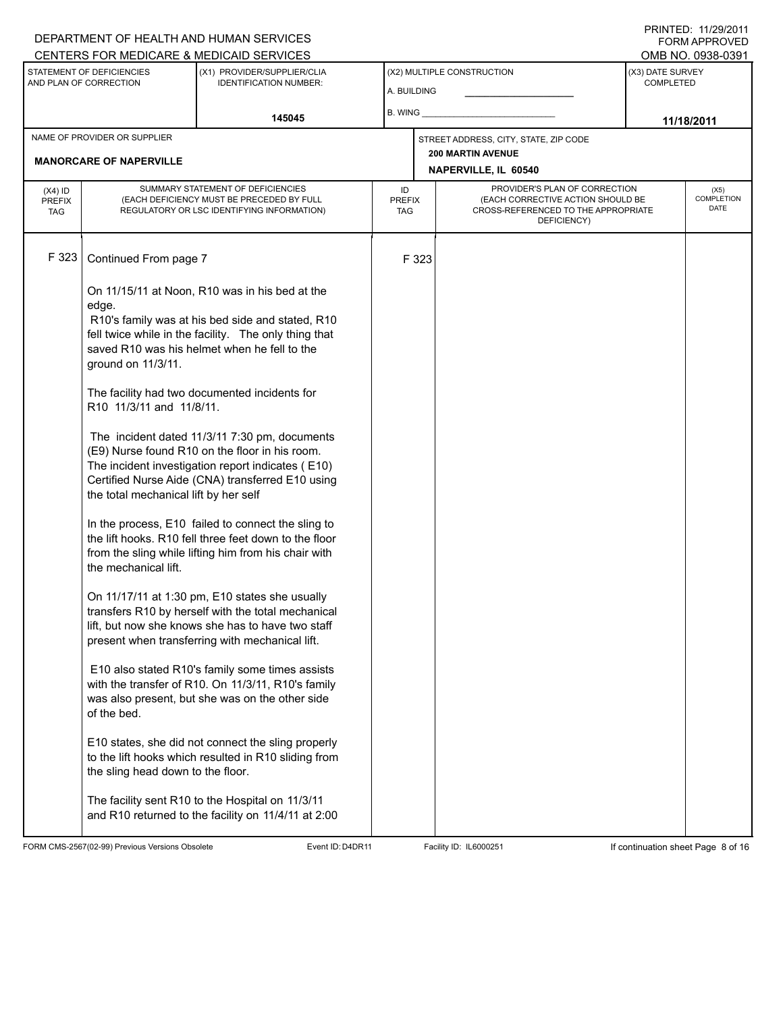# A. BUILDING (X1) PROVIDER/SUPPLIER/CLIA IDENTIFICATION NUMBER: STATEMENT OF DEFICIENCIES AND PLAN OF CORRECTION (X3) DATE SURVEY COMPLETED FORM APPROVED (X2) MULTIPLE CONSTRUCTION B. WING CENTERS FOR MEDICARE & MEDICAID SERVICES OMB NO. 0938-0391 **145045 11/18/2011 NAPERVILLE, IL 60540** NAME OF PROVIDER OR SUPPLIER STREET ADDRESS, CITY, STATE, ZIP CODE **MANORCARE OF NAPERVILLE 200 MARTIN AVENUE** PROVIDER'S PLAN OF CORRECTION (EACH CORRECTIVE ACTION SHOULD BE CROSS-REFERENCED TO THE APPROPRIATE DEFICIENCY) (X5) **COMPLETION** DATE ID PREFIX TAG (X4) ID PREFIX TAG SUMMARY STATEMENT OF DEFICIENCIES (EACH DEFICIENCY MUST BE PRECEDED BY FULL REGULATORY OR LSC IDENTIFYING INFORMATION) F 323 Continued From page 7 F 323 On 11/15/11 at Noon, R10 was in his bed at the edge. R10's family was at his bed side and stated, R10 fell twice while in the facility. The only thing that saved R10 was his helmet when he fell to the ground on 11/3/11. The facility had two documented incidents for R10 11/3/11 and 11/8/11. The incident dated 11/3/11 7:30 pm, documents (E9) Nurse found R10 on the floor in his room. The incident investigation report indicates ( E10) Certified Nurse Aide (CNA) transferred E10 using the total mechanical lift by her self In the process, E10 failed to connect the sling to the lift hooks. R10 fell three feet down to the floor from the sling while lifting him from his chair with the mechanical lift. On 11/17/11 at 1:30 pm, E10 states she usually transfers R10 by herself with the total mechanical lift, but now she knows she has to have two staff present when transferring with mechanical lift. E10 also stated R10's family some times assists with the transfer of R10. On 11/3/11, R10's family was also present, but she was on the other side of the bed. E10 states, she did not connect the sling properly to the lift hooks which resulted in R10 sliding from the sling head down to the floor. The facility sent R10 to the Hospital on 11/3/11 and R10 returned to the facility on 11/4/11 at 2:00

FORM CMS-2567(02-99) Previous Versions Obsolete 
Event ID:D4DR11 Facility ID: IL6000251 If continuation sheet Page 8 of 16

DEPARTMENT OF HEALTH AND HUMAN SERVICES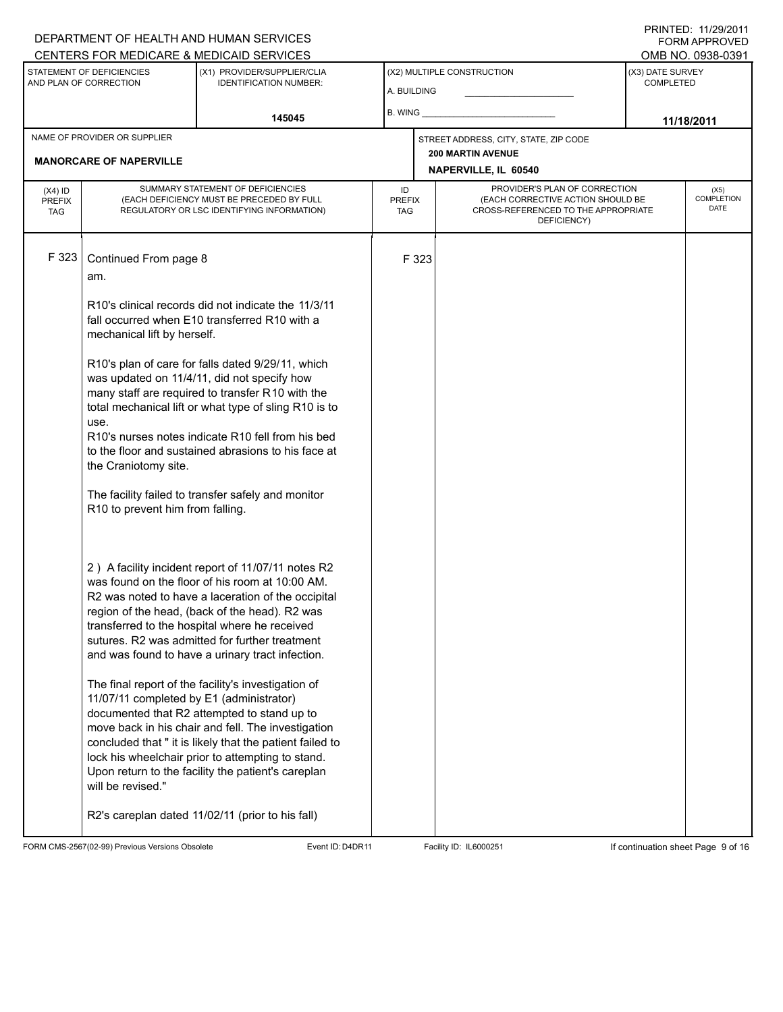# A. BUILDING (X1) PROVIDER/SUPPLIER/CLIA IDENTIFICATION NUMBER: STATEMENT OF DEFICIENCIES AND PLAN OF CORRECTION (X3) DATE SURVEY COMPLETED FORM APPROVED (X2) MULTIPLE CONSTRUCTION B. WING DEPARTMENT OF HEALTH AND HUMAN SERVICES CENTERS FOR MEDICARE & MEDICAID SERVICES OMB NO. 0938-0391 **145045 11/18/2011 NAPERVILLE, IL 60540** NAME OF PROVIDER OR SUPPLIER STREET ADDRESS, CITY, STATE, ZIP CODE **MANORCARE OF NAPERVILLE 200 MARTIN AVENUE** PROVIDER'S PLAN OF CORRECTION (EACH CORRECTIVE ACTION SHOULD BE CROSS-REFERENCED TO THE APPROPRIATE DEFICIENCY) (X5) **COMPLETION** DATE ID PREFIX TAG (X4) ID PREFIX TAG SUMMARY STATEMENT OF DEFICIENCIES (EACH DEFICIENCY MUST BE PRECEDED BY FULL REGULATORY OR LSC IDENTIFYING INFORMATION) F 323 Continued From page 8 F 323 am. R10's clinical records did not indicate the 11/3/11 fall occurred when E10 transferred R10 with a mechanical lift by herself. R10's plan of care for falls dated 9/29/11, which was updated on 11/4/11, did not specify how many staff are required to transfer R10 with the total mechanical lift or what type of sling R10 is to use. R10's nurses notes indicate R10 fell from his bed to the floor and sustained abrasions to his face at the Craniotomy site. The facility failed to transfer safely and monitor R10 to prevent him from falling. 2 ) A facility incident report of 11/07/11 notes R2 was found on the floor of his room at 10:00 AM. R2 was noted to have a laceration of the occipital region of the head, (back of the head). R2 was transferred to the hospital where he received sutures. R2 was admitted for further treatment and was found to have a urinary tract infection. The final report of the facility's investigation of 11/07/11 completed by E1 (administrator) documented that R2 attempted to stand up to move back in his chair and fell. The investigation concluded that " it is likely that the patient failed to lock his wheelchair prior to attempting to stand. Upon return to the facility the patient's careplan will be revised." R2's careplan dated 11/02/11 (prior to his fall)

FORM CMS-2567(02-99) Previous Versions Obsolete Event ID:D4DR11 Facility ID: IL6000251 If continuation sheet Page 9 of 16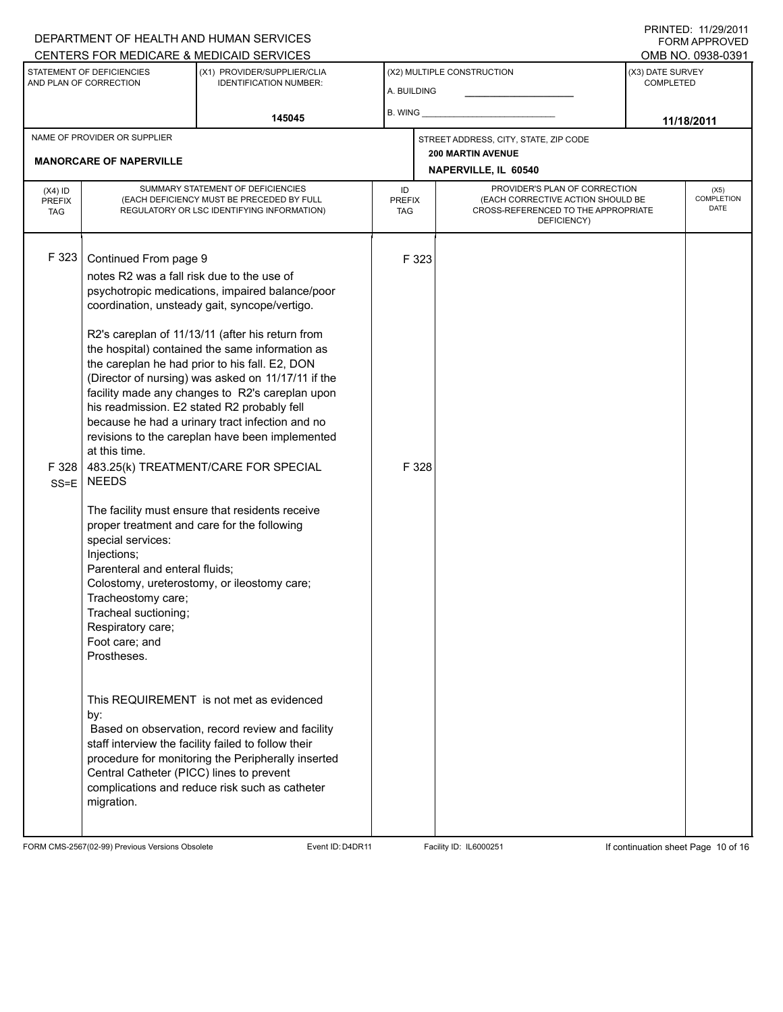#### A. BUILDING (X1) PROVIDER/SUPPLIER/CLIA IDENTIFICATION NUMBER: STATEMENT OF DEFICIENCIES AND PLAN OF CORRECTION (X3) DATE SURVEY COMPLETED FORM APPROVED (X2) MULTIPLE CONSTRUCTION B. WING CENTERS FOR MEDICARE & MEDICAID SERVICES OMB NO. 0938-0391 **145045 11/18/2011 NAPERVILLE, IL 60540** NAME OF PROVIDER OR SUPPLIER STREET ADDRESS, CITY, STATE, ZIP CODE **MANORCARE OF NAPERVILLE 200 MARTIN AVENUE** PROVIDER'S PLAN OF CORRECTION (EACH CORRECTIVE ACTION SHOULD BE CROSS-REFERENCED TO THE APPROPRIATE DEFICIENCY) (X5) **COMPLETION** DATE ID PREFIX TAG (X4) ID PREFIX TAG SUMMARY STATEMENT OF DEFICIENCIES (EACH DEFICIENCY MUST BE PRECEDED BY FULL REGULATORY OR LSC IDENTIFYING INFORMATION) F 323 Continued From page 9 F 323 notes R2 was a fall risk due to the use of psychotropic medications, impaired balance/poor coordination, unsteady gait, syncope/vertigo. R2's careplan of 11/13/11 (after his return from the hospital) contained the same information as the careplan he had prior to his fall. E2, DON (Director of nursing) was asked on 11/17/11 if the facility made any changes to R2's careplan upon his readmission. E2 stated R2 probably fell because he had a urinary tract infection and no revisions to the careplan have been implemented at this time. F 328 SS=E NEEDS 483.25(k) TREATMENT/CARE FOR SPECIAL The facility must ensure that residents receive proper treatment and care for the following special services: Injections; Parenteral and enteral fluids; Colostomy, ureterostomy, or ileostomy care; Tracheostomy care; Tracheal suctioning; Respiratory care; Foot care; and Prostheses. This REQUIREMENT is not met as evidenced by: F 328 Based on observation, record review and facility staff interview the facility failed to follow their procedure for monitoring the Peripherally inserted Central Catheter (PICC) lines to prevent complications and reduce risk such as catheter migration.

FORM CMS-2567(02-99) Previous Versions Obsolete **Event ID:D4DR11** Facility ID: IL6000251 If continuation sheet Page 10 of 16

DEPARTMENT OF HEALTH AND HUMAN SERVICES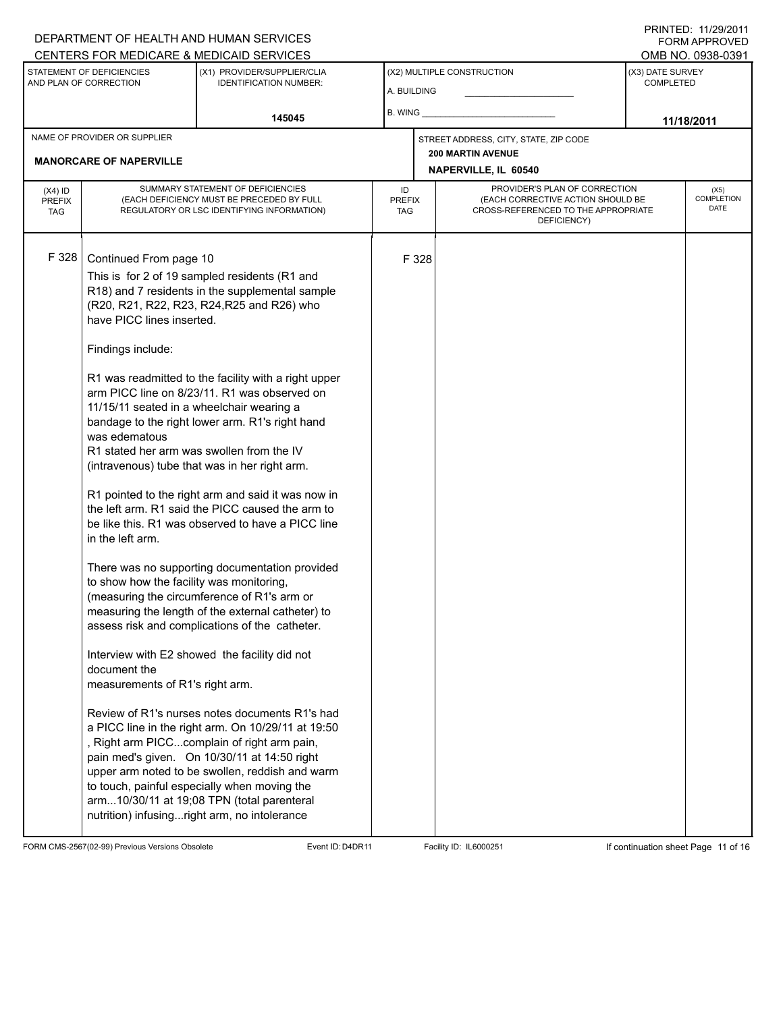# DEPARTMENT OF HEALTH AND HUMAN SERVICES CENTERS FOR MEDICARE & MEDICAID SERVICES

PRINTED: 11/29/2011 FORM APPROVED<br>OMB NO. 0938-0391

|                                                                |                                                                                                                                                                                                                                                                                                                                                                                                                                                                                                                                                                                                                                                                                                                                                                                                                                                                                                                                                                                                                                                                                                                                                                                                                                                                                                                                                                                                                                                                                                      | <u>UENTERS FUR MEDIUARE &amp; MEDIUAID SERVIUES</u>          |    |                                                                                                                                                         |                             |                                      | UMD INU. UYJO-UJY I |  |
|----------------------------------------------------------------|------------------------------------------------------------------------------------------------------------------------------------------------------------------------------------------------------------------------------------------------------------------------------------------------------------------------------------------------------------------------------------------------------------------------------------------------------------------------------------------------------------------------------------------------------------------------------------------------------------------------------------------------------------------------------------------------------------------------------------------------------------------------------------------------------------------------------------------------------------------------------------------------------------------------------------------------------------------------------------------------------------------------------------------------------------------------------------------------------------------------------------------------------------------------------------------------------------------------------------------------------------------------------------------------------------------------------------------------------------------------------------------------------------------------------------------------------------------------------------------------------|--------------------------------------------------------------|----|---------------------------------------------------------------------------------------------------------------------------------------------------------|-----------------------------|--------------------------------------|---------------------|--|
| STATEMENT OF DEFICIENCIES<br>AND PLAN OF CORRECTION            |                                                                                                                                                                                                                                                                                                                                                                                                                                                                                                                                                                                                                                                                                                                                                                                                                                                                                                                                                                                                                                                                                                                                                                                                                                                                                                                                                                                                                                                                                                      | (X1) PROVIDER/SUPPLIER/CLIA<br><b>IDENTIFICATION NUMBER:</b> |    | (X2) MULTIPLE CONSTRUCTION<br>A. BUILDING                                                                                                               |                             | (X3) DATE SURVEY<br><b>COMPLETED</b> |                     |  |
|                                                                |                                                                                                                                                                                                                                                                                                                                                                                                                                                                                                                                                                                                                                                                                                                                                                                                                                                                                                                                                                                                                                                                                                                                                                                                                                                                                                                                                                                                                                                                                                      | 145045                                                       |    | B. WING _______                                                                                                                                         |                             | 11/18/2011                           |                     |  |
| NAME OF PROVIDER OR SUPPLIER<br><b>MANORCARE OF NAPERVILLE</b> |                                                                                                                                                                                                                                                                                                                                                                                                                                                                                                                                                                                                                                                                                                                                                                                                                                                                                                                                                                                                                                                                                                                                                                                                                                                                                                                                                                                                                                                                                                      |                                                              |    | STREET ADDRESS, CITY, STATE, ZIP CODE<br><b>200 MARTIN AVENUE</b>                                                                                       |                             |                                      |                     |  |
|                                                                |                                                                                                                                                                                                                                                                                                                                                                                                                                                                                                                                                                                                                                                                                                                                                                                                                                                                                                                                                                                                                                                                                                                                                                                                                                                                                                                                                                                                                                                                                                      |                                                              |    |                                                                                                                                                         | <b>NAPERVILLE, IL 60540</b> |                                      |                     |  |
| $(X4)$ ID<br><b>PREFIX</b><br><b>TAG</b>                       | SUMMARY STATEMENT OF DEFICIENCIES<br>(EACH DEFICIENCY MUST BE PRECEDED BY FULL<br>REGULATORY OR LSC IDENTIFYING INFORMATION)                                                                                                                                                                                                                                                                                                                                                                                                                                                                                                                                                                                                                                                                                                                                                                                                                                                                                                                                                                                                                                                                                                                                                                                                                                                                                                                                                                         |                                                              | ID | PROVIDER'S PLAN OF CORRECTION<br>(EACH CORRECTIVE ACTION SHOULD BE<br><b>PREFIX</b><br>CROSS-REFERENCED TO THE APPROPRIATE<br><b>TAG</b><br>DEFICIENCY) |                             | (X5)<br><b>COMPLETION</b><br>DATE    |                     |  |
| F 328                                                          | Continued From page 10<br>This is for 2 of 19 sampled residents (R1 and<br>R18) and 7 residents in the supplemental sample<br>(R20, R21, R22, R23, R24, R25 and R26) who<br>have PICC lines inserted.<br>Findings include:<br>R1 was readmitted to the facility with a right upper<br>arm PICC line on 8/23/11. R1 was observed on<br>11/15/11 seated in a wheelchair wearing a<br>bandage to the right lower arm. R1's right hand<br>was edematous<br>R1 stated her arm was swollen from the IV<br>(intravenous) tube that was in her right arm.<br>R1 pointed to the right arm and said it was now in<br>the left arm. R1 said the PICC caused the arm to<br>be like this. R1 was observed to have a PICC line<br>in the left arm.<br>There was no supporting documentation provided<br>to show how the facility was monitoring,<br>(measuring the circumference of R1's arm or<br>measuring the length of the external catheter) to<br>assess risk and complications of the catheter.<br>Interview with E2 showed the facility did not<br>document the<br>measurements of R1's right arm.<br>Review of R1's nurses notes documents R1's had<br>a PICC line in the right arm. On 10/29/11 at 19:50<br>, Right arm PICCcomplain of right arm pain,<br>pain med's given. On 10/30/11 at 14:50 right<br>upper arm noted to be swollen, reddish and warm<br>to touch, painful especially when moving the<br>arm10/30/11 at 19;08 TPN (total parenteral<br>nutrition) infusingright arm, no intolerance |                                                              |    | F 328                                                                                                                                                   |                             |                                      |                     |  |

FORM CMS-2567(02-99) Previous Versions Obsolete Event ID:D4DR11 Facility ID: IL6000251 If continuation sheet Page 11 of 16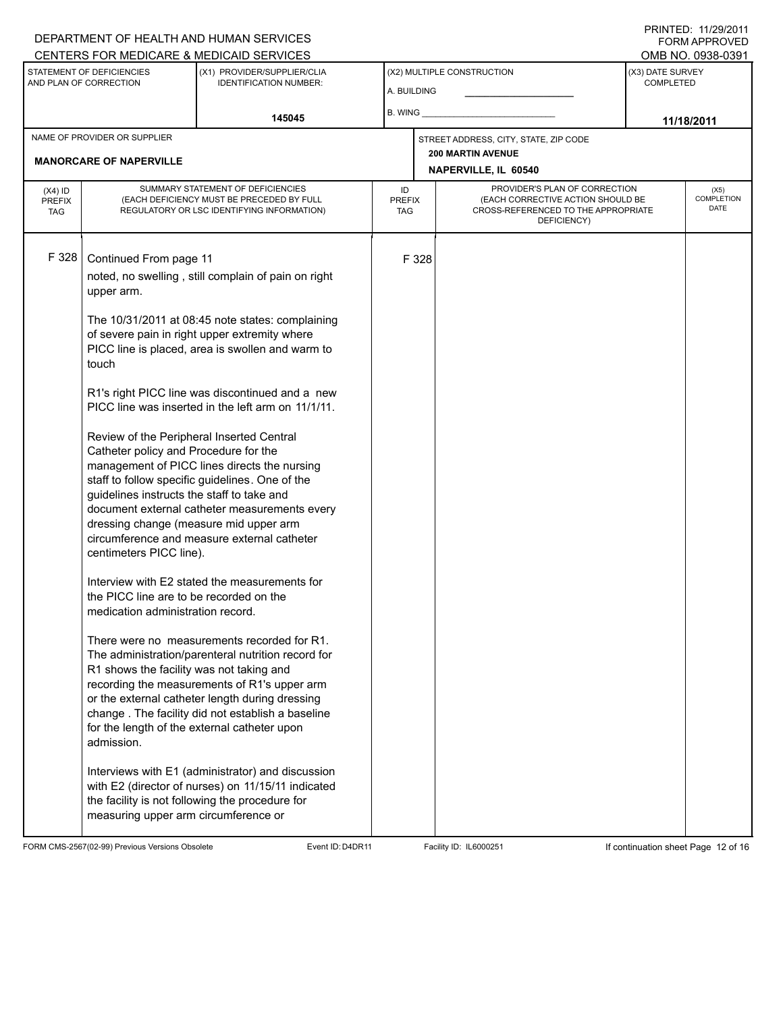#### A. BUILDING (X1) PROVIDER/SUPPLIER/CLIA IDENTIFICATION NUMBER: STATEMENT OF DEFICIENCIES AND PLAN OF CORRECTION (X3) DATE SURVEY COMPLETED FORM APPROVED (X2) MULTIPLE CONSTRUCTION B. WING DEPARTMENT OF HEALTH AND HUMAN SERVICES CENTERS FOR MEDICARE & MEDICAID SERVICES OMB NO. 0938-0391 **145045 11/18/2011 NAPERVILLE, IL 60540** NAME OF PROVIDER OR SUPPLIER STREET ADDRESS, CITY, STATE, ZIP CODE **MANORCARE OF NAPERVILLE 200 MARTIN AVENUE** PROVIDER'S PLAN OF CORRECTION (EACH CORRECTIVE ACTION SHOULD BE CROSS-REFERENCED TO THE APPROPRIATE DEFICIENCY) (X5) **COMPLETION** DATE ID PREFIX TAG (X4) ID PREFIX TAG SUMMARY STATEMENT OF DEFICIENCIES (EACH DEFICIENCY MUST BE PRECEDED BY FULL REGULATORY OR LSC IDENTIFYING INFORMATION) F 328 Continued From page 11 F 328 noted, no swelling , still complain of pain on right upper arm. The 10/31/2011 at 08:45 note states: complaining of severe pain in right upper extremity where PICC line is placed, area is swollen and warm to touch R1's right PICC line was discontinued and a new PICC line was inserted in the left arm on 11/1/11. Review of the Peripheral Inserted Central Catheter policy and Procedure for the management of PICC lines directs the nursing staff to follow specific guidelines. One of the guidelines instructs the staff to take and document external catheter measurements every dressing change (measure mid upper arm circumference and measure external catheter centimeters PICC line). Interview with E2 stated the measurements for the PICC line are to be recorded on the medication administration record. There were no measurements recorded for R1. The administration/parenteral nutrition record for R1 shows the facility was not taking and recording the measurements of R1's upper arm or the external catheter length during dressing change . The facility did not establish a baseline for the length of the external catheter upon admission. Interviews with E1 (administrator) and discussion with E2 (director of nurses) on 11/15/11 indicated the facility is not following the procedure for measuring upper arm circumference or

FORM CMS-2567(02-99) Previous Versions Obsolete **Event ID:D4DR11** Facility ID: IL6000251 If continuation sheet Page 12 of 16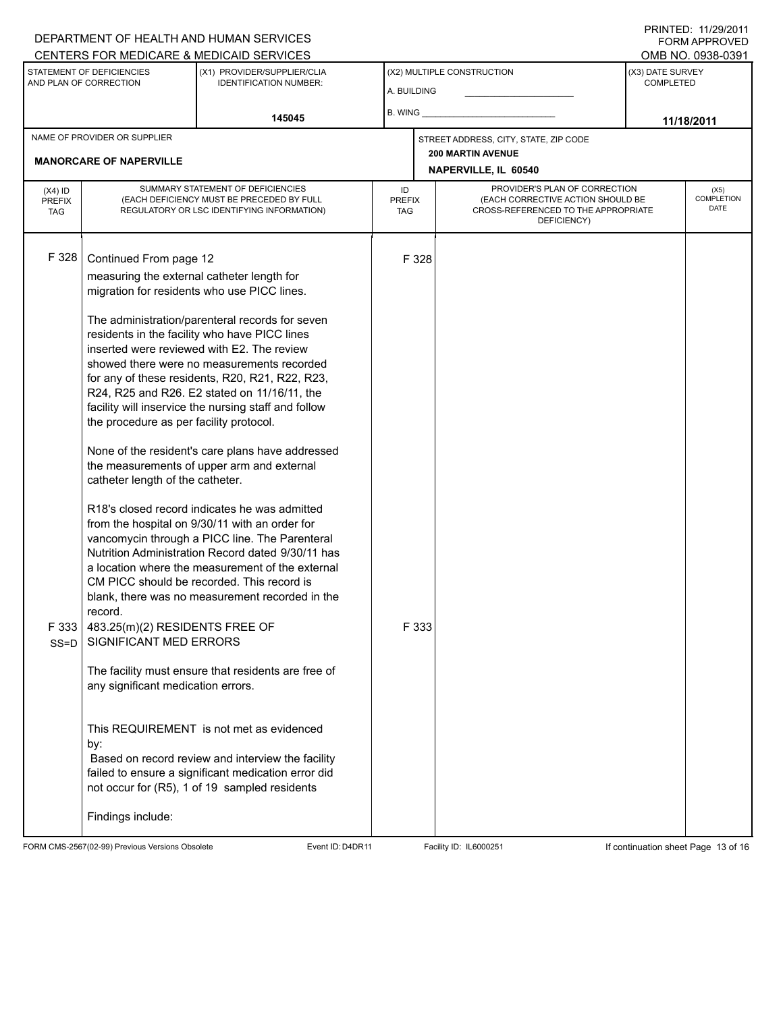#### A. BUILDING (X1) PROVIDER/SUPPLIER/CLIA IDENTIFICATION NUMBER: STATEMENT OF DEFICIENCIES AND PLAN OF CORRECTION (X3) DATE SURVEY COMPLETED (X2) MULTIPLE CONSTRUCTION B. WING CENTERS FOR MEDICARE & MEDICAID SERVICES OMB NO. 0938-0391 **145045 11/18/2011 NAPERVILLE, IL 60540** NAME OF PROVIDER OR SUPPLIER STREET ADDRESS, CITY, STATE, ZIP CODE **MANORCARE OF NAPERVILLE 200 MARTIN AVENUE** PROVIDER'S PLAN OF CORRECTION (EACH CORRECTIVE ACTION SHOULD BE CROSS-REFERENCED TO THE APPROPRIATE DEFICIENCY) (X5) **COMPLETION** DATE ID PREFIX TAG (X4) ID PREFIX TAG SUMMARY STATEMENT OF DEFICIENCIES (EACH DEFICIENCY MUST BE PRECEDED BY FULL REGULATORY OR LSC IDENTIFYING INFORMATION) F 328 Continued From page 12 F 328 measuring the external catheter length for migration for residents who use PICC lines. The administration/parenteral records for seven residents in the facility who have PICC lines inserted were reviewed with E2. The review showed there were no measurements recorded for any of these residents, R20, R21, R22, R23, R24, R25 and R26. E2 stated on 11/16/11, the facility will inservice the nursing staff and follow the procedure as per facility protocol. None of the resident's care plans have addressed the measurements of upper arm and external catheter length of the catheter. R18's closed record indicates he was admitted from the hospital on 9/30/11 with an order for vancomycin through a PICC line. The Parenteral Nutrition Administration Record dated 9/30/11 has a location where the measurement of the external CM PICC should be recorded. This record is blank, there was no measurement recorded in the record. F 333 SS=D 483.25(m)(2) RESIDENTS FREE OF SIGNIFICANT MED ERRORS The facility must ensure that residents are free of any significant medication errors. This REQUIREMENT is not met as evidenced by: F 333 Based on record review and interview the facility failed to ensure a significant medication error did not occur for (R5), 1 of 19 sampled residents Findings include:

FORM CMS-2567(02-99) Previous Versions Obsolete **Event ID:D4DR11** Facility ID: IL6000251 If continuation sheet Page 13 of 16

DEPARTMENT OF HEALTH AND HUMAN SERVICES

PRINTED: 11/29/2011 FORM APPROVED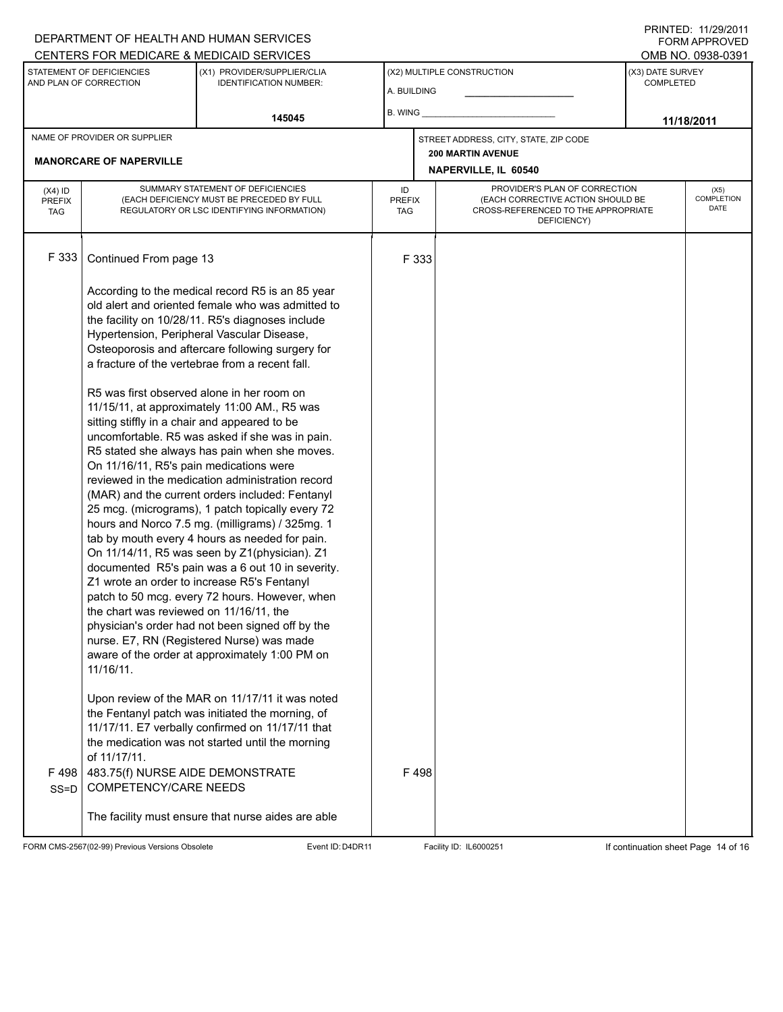#### A. BUILDING (X1) PROVIDER/SUPPLIER/CLIA IDENTIFICATION NUMBER: STATEMENT OF DEFICIENCIES AND PLAN OF CORRECTION (X3) DATE SURVEY COMPLETED FORM APPROVED (X2) MULTIPLE CONSTRUCTION B. WING DEPARTMENT OF HEALTH AND HUMAN SERVICES CENTERS FOR MEDICARE & MEDICAID SERVICES **And CENTERS FOR MEDICAL ACCESS** OMB NO. 0938-0391 **145045 11/18/2011 NAPERVILLE, IL 60540** NAME OF PROVIDER OR SUPPLIER STREET ADDRESS, CITY, STATE, ZIP CODE **MANORCARE OF NAPERVILLE 200 MARTIN AVENUE** PROVIDER'S PLAN OF CORRECTION (EACH CORRECTIVE ACTION SHOULD BE CROSS-REFERENCED TO THE APPROPRIATE DEFICIENCY) (X5) **COMPLETION** DATE ID PREFIX TAG (X4) ID PREFIX TAG SUMMARY STATEMENT OF DEFICIENCIES (EACH DEFICIENCY MUST BE PRECEDED BY FULL REGULATORY OR LSC IDENTIFYING INFORMATION) F 333 Continued From page 13 F 333 According to the medical record R5 is an 85 year old alert and oriented female who was admitted to the facility on 10/28/11. R5's diagnoses include Hypertension, Peripheral Vascular Disease, Osteoporosis and aftercare following surgery for a fracture of the vertebrae from a recent fall. R5 was first observed alone in her room on 11/15/11, at approximately 11:00 AM., R5 was sitting stiffly in a chair and appeared to be uncomfortable. R5 was asked if she was in pain. R5 stated she always has pain when she moves. On 11/16/11, R5's pain medications were reviewed in the medication administration record (MAR) and the current orders included: Fentanyl 25 mcg. (micrograms), 1 patch topically every 72 hours and Norco 7.5 mg. (milligrams) / 325mg. 1 tab by mouth every 4 hours as needed for pain. On 11/14/11, R5 was seen by Z1(physician). Z1 documented R5's pain was a 6 out 10 in severity. Z1 wrote an order to increase R5's Fentanyl patch to 50 mcg. every 72 hours. However, when the chart was reviewed on 11/16/11, the physician's order had not been signed off by the nurse. E7, RN (Registered Nurse) was made aware of the order at approximately 1:00 PM on 11/16/11. Upon review of the MAR on 11/17/11 it was noted the Fentanyl patch was initiated the morning, of 11/17/11. E7 verbally confirmed on 11/17/11 that the medication was not started until the morning of 11/17/11. F 498 SS=D 483.75(f) NURSE AIDE DEMONSTRATE COMPETENCY/CARE NEEDS The facility must ensure that nurse aides are able F 498

FORM CMS-2567(02-99) Previous Versions Obsolete **Event ID:D4DR11** Facility ID: IL6000251 If continuation sheet Page 14 of 16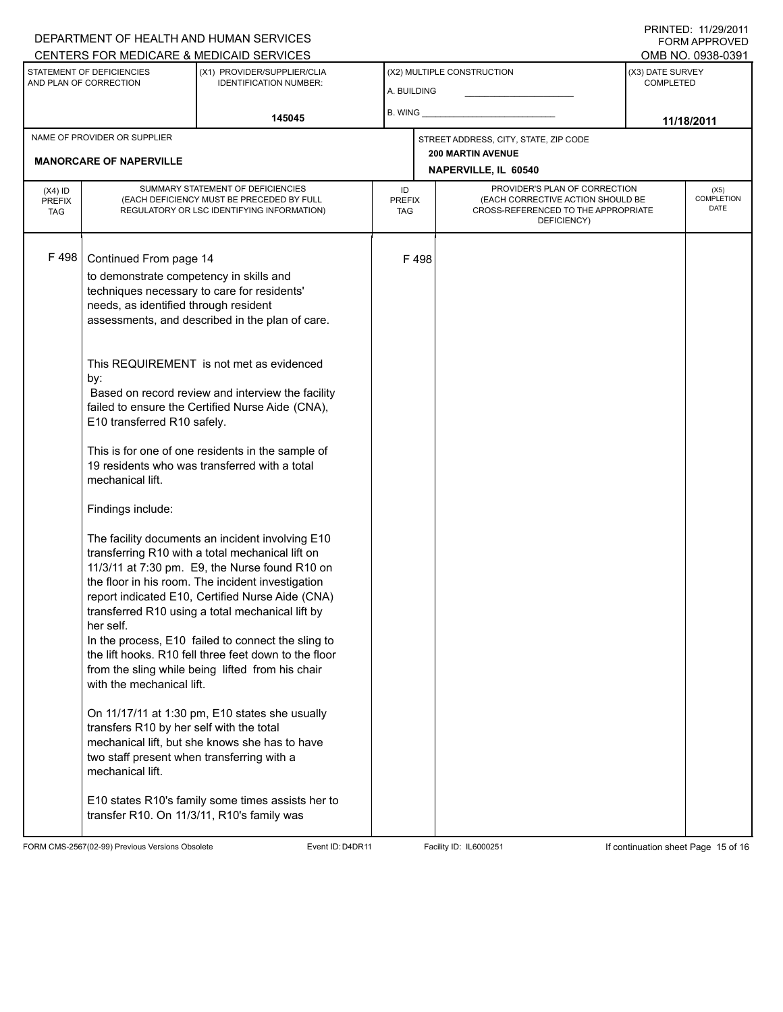# A. BUILDING (X1) PROVIDER/SUPPLIER/CLIA IDENTIFICATION NUMBER: STATEMENT OF DEFICIENCIES AND PLAN OF CORRECTION (X3) DATE SURVEY COMPLETED FORM APPROVED (X2) MULTIPLE CONSTRUCTION B. WING CENTERS FOR MEDICARE & MEDICAID SERVICES OMB NO. 0938-0391 **145045 11/18/2011 NAPERVILLE, IL 60540** NAME OF PROVIDER OR SUPPLIER STREET ADDRESS, CITY, STATE, ZIP CODE **MANORCARE OF NAPERVILLE 200 MARTIN AVENUE** PROVIDER'S PLAN OF CORRECTION (EACH CORRECTIVE ACTION SHOULD BE CROSS-REFERENCED TO THE APPROPRIATE DEFICIENCY) (X5) **COMPLETION** DATE ID PREFIX TAG (X4) ID PREFIX TAG SUMMARY STATEMENT OF DEFICIENCIES (EACH DEFICIENCY MUST BE PRECEDED BY FULL REGULATORY OR LSC IDENTIFYING INFORMATION) F 498 Continued From page 14 F 498 to demonstrate competency in skills and techniques necessary to care for residents' needs, as identified through resident assessments, and described in the plan of care. This REQUIREMENT is not met as evidenced by: Based on record review and interview the facility failed to ensure the Certified Nurse Aide (CNA), E10 transferred R10 safely. This is for one of one residents in the sample of 19 residents who was transferred with a total mechanical lift. Findings include: The facility documents an incident involving E10 transferring R10 with a total mechanical lift on 11/3/11 at 7:30 pm. E9, the Nurse found R10 on the floor in his room. The incident investigation report indicated E10, Certified Nurse Aide (CNA) transferred R10 using a total mechanical lift by her self. In the process, E10 failed to connect the sling to the lift hooks. R10 fell three feet down to the floor from the sling while being lifted from his chair with the mechanical lift. On 11/17/11 at 1:30 pm, E10 states she usually transfers R10 by her self with the total mechanical lift, but she knows she has to have two staff present when transferring with a mechanical lift. E10 states R10's family some times assists her to transfer R10. On 11/3/11, R10's family was

FORM CMS-2567(02-99) Previous Versions Obsolete **Event ID:D4DR11** Facility ID: IL6000251 If continuation sheet Page 15 of 16

DEPARTMENT OF HEALTH AND HUMAN SERVICES